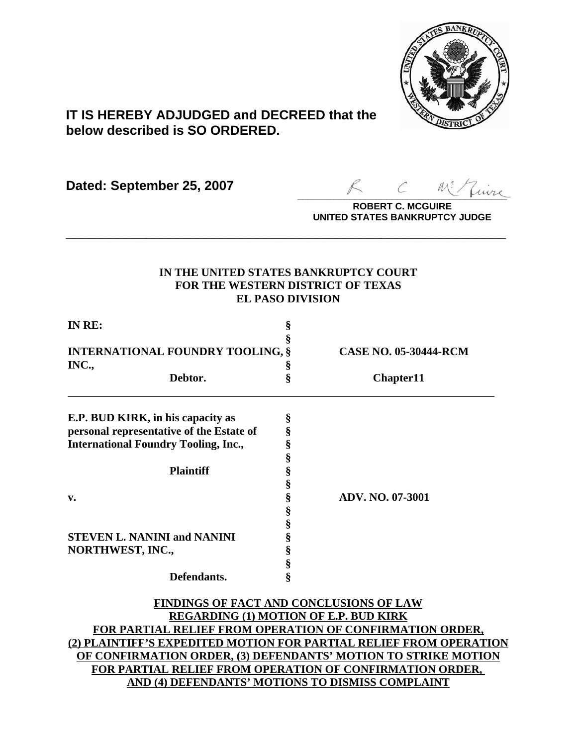

# **IT IS HEREBY ADJUDGED and DECREED that the below described is SO ORDERED.**

**Dated: September 25, 2007**

 $\sim$  more

**ROBERT C. MCGUIRE UNITED STATES BANKRUPTCY JUDGE**

# **IN THE UNITED STATES BANKRUPTCY COURT FOR THE WESTERN DISTRICT OF TEXAS EL PASO DIVISION**

**\_\_\_\_\_\_\_\_\_\_\_\_\_\_\_\_\_\_\_\_\_\_\_\_\_\_\_\_\_\_\_\_\_\_\_\_\_\_\_\_\_\_\_\_\_\_\_\_\_\_\_\_\_\_\_\_\_\_\_\_**

| IN RE:                                           | §      |                              |
|--------------------------------------------------|--------|------------------------------|
| <b>INTERNATIONAL FOUNDRY TOOLING, §</b><br>INC., | ş      | <b>CASE NO. 05-30444-RCM</b> |
| Debtor.                                          | s<br>§ | Chapter11                    |
| E.P. BUD KIRK, in his capacity as                | §      |                              |
| personal representative of the Estate of         | §      |                              |
| <b>International Foundry Tooling, Inc.,</b>      | §      |                              |
|                                                  | §      |                              |
| <b>Plaintiff</b>                                 | §      |                              |
|                                                  | §      |                              |
| v.                                               | ş      | ADV. NO. 07-3001             |
|                                                  | §      |                              |
|                                                  | §      |                              |
| <b>STEVEN L. NANINI and NANINI</b>               | ş      |                              |
| NORTHWEST, INC.,                                 | \$     |                              |
|                                                  | ş      |                              |
| Defendants.                                      | ş      |                              |

**FINDINGS OF FACT AND CONCLUSIONS OF LAW REGARDING (1) MOTION OF E.P. BUD KIRK FOR PARTIAL RELIEF FROM OPERATION OF CONFIRMATION ORDER, (2) PLAINTIFF'S EXPEDITED MOTION FOR PARTIAL RELIEF FROM OPERATION OF CONFIRMATION ORDER, (3) DEFENDANTS' MOTION TO STRIKE MOTION FOR PARTIAL RELIEF FROM OPERATION OF CONFIRMATION ORDER, AND (4) DEFENDANTS' MOTIONS TO DISMISS COMPLAINT**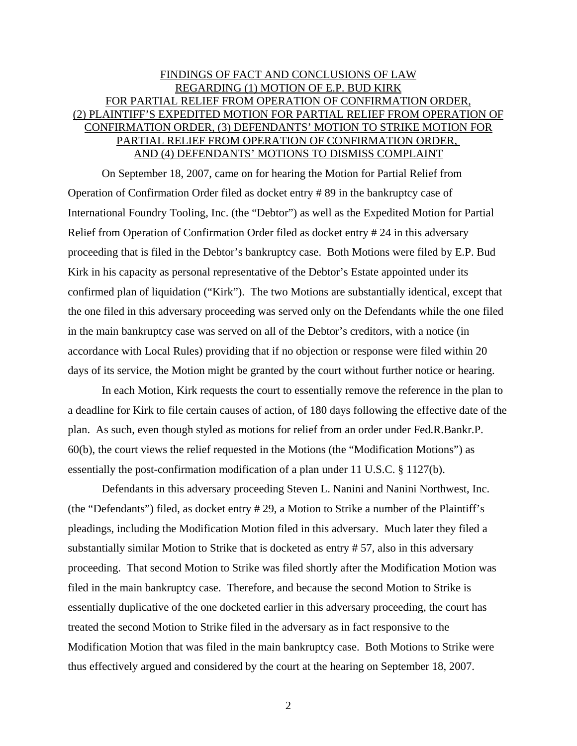# FINDINGS OF FACT AND CONCLUSIONS OF LAW REGARDING (1) MOTION OF E.P. BUD KIRK FOR PARTIAL RELIEF FROM OPERATION OF CONFIRMATION ORDER, (2) PLAINTIFF'S EXPEDITED MOTION FOR PARTIAL RELIEF FROM OPERATION OF CONFIRMATION ORDER, (3) DEFENDANTS' MOTION TO STRIKE MOTION FOR PARTIAL RELIEF FROM OPERATION OF CONFIRMATION ORDER, AND (4) DEFENDANTS' MOTIONS TO DISMISS COMPLAINT

On September 18, 2007, came on for hearing the Motion for Partial Relief from Operation of Confirmation Order filed as docket entry # 89 in the bankruptcy case of International Foundry Tooling, Inc. (the "Debtor") as well as the Expedited Motion for Partial Relief from Operation of Confirmation Order filed as docket entry # 24 in this adversary proceeding that is filed in the Debtor's bankruptcy case. Both Motions were filed by E.P. Bud Kirk in his capacity as personal representative of the Debtor's Estate appointed under its confirmed plan of liquidation ("Kirk"). The two Motions are substantially identical, except that the one filed in this adversary proceeding was served only on the Defendants while the one filed in the main bankruptcy case was served on all of the Debtor's creditors, with a notice (in accordance with Local Rules) providing that if no objection or response were filed within 20 days of its service, the Motion might be granted by the court without further notice or hearing.

In each Motion, Kirk requests the court to essentially remove the reference in the plan to a deadline for Kirk to file certain causes of action, of 180 days following the effective date of the plan. As such, even though styled as motions for relief from an order under Fed.R.Bankr.P. 60(b), the court views the relief requested in the Motions (the "Modification Motions") as essentially the post-confirmation modification of a plan under 11 U.S.C. § 1127(b).

Defendants in this adversary proceeding Steven L. Nanini and Nanini Northwest, Inc. (the "Defendants") filed, as docket entry # 29, a Motion to Strike a number of the Plaintiff's pleadings, including the Modification Motion filed in this adversary. Much later they filed a substantially similar Motion to Strike that is docketed as entry # 57, also in this adversary proceeding. That second Motion to Strike was filed shortly after the Modification Motion was filed in the main bankruptcy case. Therefore, and because the second Motion to Strike is essentially duplicative of the one docketed earlier in this adversary proceeding, the court has treated the second Motion to Strike filed in the adversary as in fact responsive to the Modification Motion that was filed in the main bankruptcy case. Both Motions to Strike were thus effectively argued and considered by the court at the hearing on September 18, 2007.

2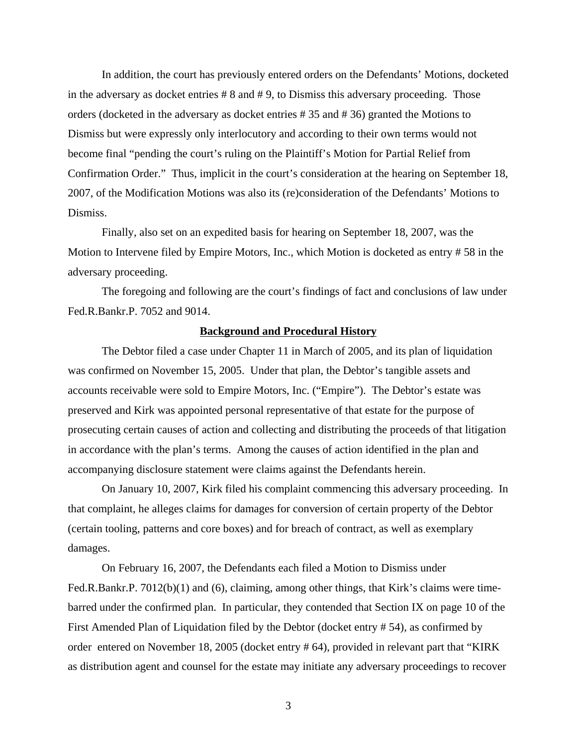In addition, the court has previously entered orders on the Defendants' Motions, docketed in the adversary as docket entries # 8 and # 9, to Dismiss this adversary proceeding. Those orders (docketed in the adversary as docket entries # 35 and # 36) granted the Motions to Dismiss but were expressly only interlocutory and according to their own terms would not become final "pending the court's ruling on the Plaintiff's Motion for Partial Relief from Confirmation Order." Thus, implicit in the court's consideration at the hearing on September 18, 2007, of the Modification Motions was also its (re)consideration of the Defendants' Motions to Dismiss.

Finally, also set on an expedited basis for hearing on September 18, 2007, was the Motion to Intervene filed by Empire Motors, Inc., which Motion is docketed as entry # 58 in the adversary proceeding.

The foregoing and following are the court's findings of fact and conclusions of law under Fed.R.Bankr.P. 7052 and 9014.

## **Background and Procedural History**

The Debtor filed a case under Chapter 11 in March of 2005, and its plan of liquidation was confirmed on November 15, 2005. Under that plan, the Debtor's tangible assets and accounts receivable were sold to Empire Motors, Inc. ("Empire"). The Debtor's estate was preserved and Kirk was appointed personal representative of that estate for the purpose of prosecuting certain causes of action and collecting and distributing the proceeds of that litigation in accordance with the plan's terms. Among the causes of action identified in the plan and accompanying disclosure statement were claims against the Defendants herein.

On January 10, 2007, Kirk filed his complaint commencing this adversary proceeding. In that complaint, he alleges claims for damages for conversion of certain property of the Debtor (certain tooling, patterns and core boxes) and for breach of contract, as well as exemplary damages.

On February 16, 2007, the Defendants each filed a Motion to Dismiss under Fed.R.Bankr.P. 7012(b)(1) and (6), claiming, among other things, that Kirk's claims were timebarred under the confirmed plan. In particular, they contended that Section IX on page 10 of the First Amended Plan of Liquidation filed by the Debtor (docket entry # 54), as confirmed by order entered on November 18, 2005 (docket entry # 64), provided in relevant part that "KIRK as distribution agent and counsel for the estate may initiate any adversary proceedings to recover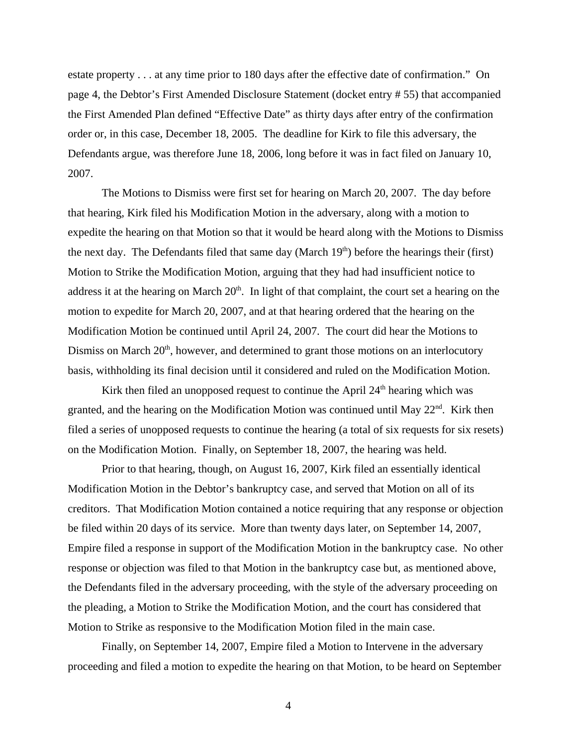estate property . . . at any time prior to 180 days after the effective date of confirmation." On page 4, the Debtor's First Amended Disclosure Statement (docket entry # 55) that accompanied the First Amended Plan defined "Effective Date" as thirty days after entry of the confirmation order or, in this case, December 18, 2005. The deadline for Kirk to file this adversary, the Defendants argue, was therefore June 18, 2006, long before it was in fact filed on January 10, 2007.

The Motions to Dismiss were first set for hearing on March 20, 2007. The day before that hearing, Kirk filed his Modification Motion in the adversary, along with a motion to expedite the hearing on that Motion so that it would be heard along with the Motions to Dismiss the next day. The Defendants filed that same day (March  $19<sup>th</sup>$ ) before the hearings their (first) Motion to Strike the Modification Motion, arguing that they had had insufficient notice to address it at the hearing on March  $20<sup>th</sup>$ . In light of that complaint, the court set a hearing on the motion to expedite for March 20, 2007, and at that hearing ordered that the hearing on the Modification Motion be continued until April 24, 2007. The court did hear the Motions to Dismiss on March  $20<sup>th</sup>$ , however, and determined to grant those motions on an interlocutory basis, withholding its final decision until it considered and ruled on the Modification Motion.

Kirk then filed an unopposed request to continue the April  $24<sup>th</sup>$  hearing which was granted, and the hearing on the Modification Motion was continued until May 22<sup>nd</sup>. Kirk then filed a series of unopposed requests to continue the hearing (a total of six requests for six resets) on the Modification Motion. Finally, on September 18, 2007, the hearing was held.

Prior to that hearing, though, on August 16, 2007, Kirk filed an essentially identical Modification Motion in the Debtor's bankruptcy case, and served that Motion on all of its creditors. That Modification Motion contained a notice requiring that any response or objection be filed within 20 days of its service. More than twenty days later, on September 14, 2007, Empire filed a response in support of the Modification Motion in the bankruptcy case. No other response or objection was filed to that Motion in the bankruptcy case but, as mentioned above, the Defendants filed in the adversary proceeding, with the style of the adversary proceeding on the pleading, a Motion to Strike the Modification Motion, and the court has considered that Motion to Strike as responsive to the Modification Motion filed in the main case.

Finally, on September 14, 2007, Empire filed a Motion to Intervene in the adversary proceeding and filed a motion to expedite the hearing on that Motion, to be heard on September

4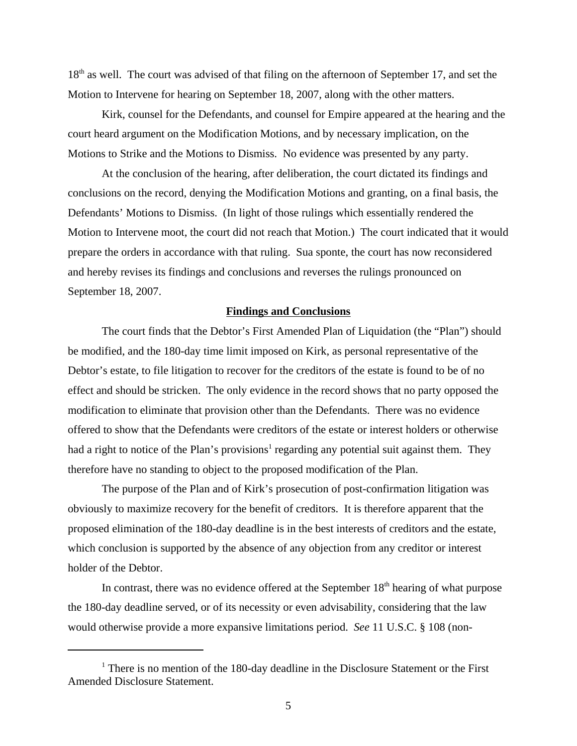18<sup>th</sup> as well. The court was advised of that filing on the afternoon of September 17, and set the Motion to Intervene for hearing on September 18, 2007, along with the other matters.

Kirk, counsel for the Defendants, and counsel for Empire appeared at the hearing and the court heard argument on the Modification Motions, and by necessary implication, on the Motions to Strike and the Motions to Dismiss. No evidence was presented by any party.

At the conclusion of the hearing, after deliberation, the court dictated its findings and conclusions on the record, denying the Modification Motions and granting, on a final basis, the Defendants' Motions to Dismiss. (In light of those rulings which essentially rendered the Motion to Intervene moot, the court did not reach that Motion.) The court indicated that it would prepare the orders in accordance with that ruling. Sua sponte, the court has now reconsidered and hereby revises its findings and conclusions and reverses the rulings pronounced on September 18, 2007.

#### **Findings and Conclusions**

The court finds that the Debtor's First Amended Plan of Liquidation (the "Plan") should be modified, and the 180-day time limit imposed on Kirk, as personal representative of the Debtor's estate, to file litigation to recover for the creditors of the estate is found to be of no effect and should be stricken. The only evidence in the record shows that no party opposed the modification to eliminate that provision other than the Defendants. There was no evidence offered to show that the Defendants were creditors of the estate or interest holders or otherwise had a right to notice of the Plan's provisions<sup>1</sup> regarding any potential suit against them. They therefore have no standing to object to the proposed modification of the Plan.

The purpose of the Plan and of Kirk's prosecution of post-confirmation litigation was obviously to maximize recovery for the benefit of creditors. It is therefore apparent that the proposed elimination of the 180-day deadline is in the best interests of creditors and the estate, which conclusion is supported by the absence of any objection from any creditor or interest holder of the Debtor.

In contrast, there was no evidence offered at the September  $18<sup>th</sup>$  hearing of what purpose the 180-day deadline served, or of its necessity or even advisability, considering that the law would otherwise provide a more expansive limitations period. *See* 11 U.S.C. § 108 (non-

<sup>&</sup>lt;sup>1</sup> There is no mention of the 180-day deadline in the Disclosure Statement or the First Amended Disclosure Statement.